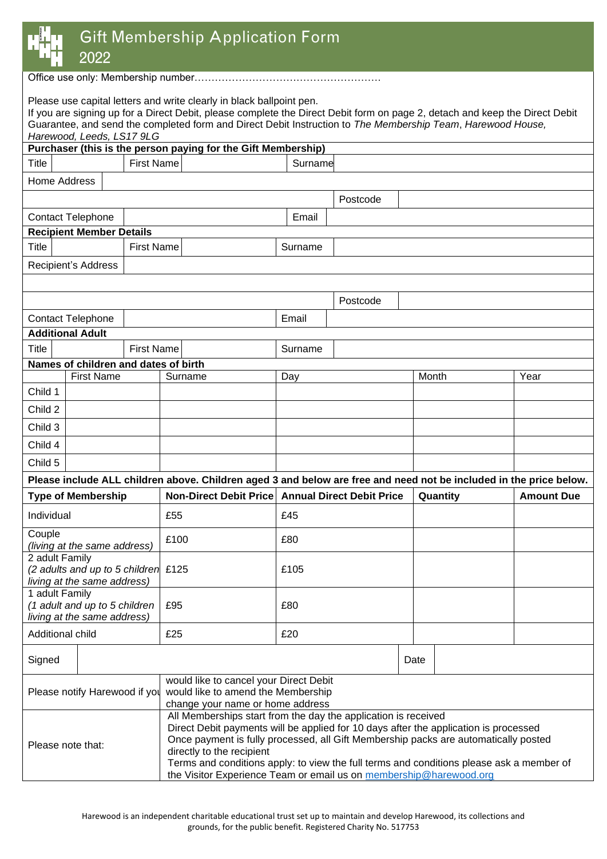|  | HARFWOOD |  |
|--|----------|--|
|  |          |  |
|  |          |  |
|  |          |  |
|  |          |  |

# Gift Membership Application Form

2022

Office use only: Membership number……………………………………………….

Please use capital letters and write clearly in black ballpoint pen.

If you are signing up for a Direct Debit, please complete the Direct Debit form on page 2, detach and keep the Direct Debit Guarantee, and send the completed form and Direct Debit Instruction to *The Membership Team*, *Harewood House, Harewood, Leeds, LS17 9LG*

| Tidiewuu, Leeus, Lott yLO<br>Purchaser (this is the person paying for the Gift Membership)                                                                                                                                                                                                                                                                                                                                                                        |                                   |                                      |                               |         |          |                                  |  |          |  |                   |
|-------------------------------------------------------------------------------------------------------------------------------------------------------------------------------------------------------------------------------------------------------------------------------------------------------------------------------------------------------------------------------------------------------------------------------------------------------------------|-----------------------------------|--------------------------------------|-------------------------------|---------|----------|----------------------------------|--|----------|--|-------------------|
| <b>Title</b>                                                                                                                                                                                                                                                                                                                                                                                                                                                      |                                   |                                      |                               | Surname |          |                                  |  |          |  |                   |
|                                                                                                                                                                                                                                                                                                                                                                                                                                                                   | <b>First Name</b><br>Home Address |                                      |                               |         |          |                                  |  |          |  |                   |
|                                                                                                                                                                                                                                                                                                                                                                                                                                                                   |                                   |                                      |                               |         | Postcode |                                  |  |          |  |                   |
|                                                                                                                                                                                                                                                                                                                                                                                                                                                                   | <b>Contact Telephone</b>          |                                      |                               |         | Email    |                                  |  |          |  |                   |
|                                                                                                                                                                                                                                                                                                                                                                                                                                                                   |                                   |                                      |                               |         |          |                                  |  |          |  |                   |
| <b>Recipient Member Details</b>                                                                                                                                                                                                                                                                                                                                                                                                                                   |                                   |                                      |                               |         |          |                                  |  |          |  |                   |
| <b>Title</b><br><b>First Name</b>                                                                                                                                                                                                                                                                                                                                                                                                                                 |                                   |                                      |                               |         | Surname  |                                  |  |          |  |                   |
| <b>Recipient's Address</b>                                                                                                                                                                                                                                                                                                                                                                                                                                        |                                   |                                      |                               |         |          |                                  |  |          |  |                   |
|                                                                                                                                                                                                                                                                                                                                                                                                                                                                   |                                   |                                      |                               |         |          |                                  |  |          |  |                   |
|                                                                                                                                                                                                                                                                                                                                                                                                                                                                   |                                   |                                      |                               |         |          | Postcode                         |  |          |  |                   |
|                                                                                                                                                                                                                                                                                                                                                                                                                                                                   | <b>Contact Telephone</b>          |                                      |                               |         | Email    |                                  |  |          |  |                   |
| <b>Title</b>                                                                                                                                                                                                                                                                                                                                                                                                                                                      | <b>Additional Adult</b>           | <b>First Name</b>                    |                               |         |          |                                  |  |          |  |                   |
|                                                                                                                                                                                                                                                                                                                                                                                                                                                                   |                                   |                                      |                               |         | Surname  |                                  |  |          |  |                   |
|                                                                                                                                                                                                                                                                                                                                                                                                                                                                   |                                   | Names of children and dates of birth |                               |         |          |                                  |  |          |  | Year              |
| Child 1                                                                                                                                                                                                                                                                                                                                                                                                                                                           | <b>First Name</b><br>Surname      |                                      |                               |         | Day      |                                  |  | Month    |  |                   |
| Child 2                                                                                                                                                                                                                                                                                                                                                                                                                                                           |                                   |                                      |                               |         |          |                                  |  |          |  |                   |
| Child 3                                                                                                                                                                                                                                                                                                                                                                                                                                                           |                                   |                                      |                               |         |          |                                  |  |          |  |                   |
|                                                                                                                                                                                                                                                                                                                                                                                                                                                                   |                                   |                                      |                               |         |          |                                  |  |          |  |                   |
| Child 4                                                                                                                                                                                                                                                                                                                                                                                                                                                           |                                   |                                      |                               |         |          |                                  |  |          |  |                   |
| Child 5<br>Please include ALL children above. Children aged 3 and below are free and need not be included in the price below.                                                                                                                                                                                                                                                                                                                                     |                                   |                                      |                               |         |          |                                  |  |          |  |                   |
|                                                                                                                                                                                                                                                                                                                                                                                                                                                                   |                                   |                                      |                               |         |          |                                  |  |          |  |                   |
| <b>Type of Membership</b>                                                                                                                                                                                                                                                                                                                                                                                                                                         |                                   |                                      | <b>Non-Direct Debit Price</b> |         |          | <b>Annual Direct Debit Price</b> |  | Quantity |  | <b>Amount Due</b> |
| Individual                                                                                                                                                                                                                                                                                                                                                                                                                                                        |                                   |                                      | £55                           |         | £45      |                                  |  |          |  |                   |
| Couple<br>(living at the same address)                                                                                                                                                                                                                                                                                                                                                                                                                            |                                   |                                      | £100                          |         | £80      |                                  |  |          |  |                   |
| 2 adult Family<br>(2 adults and up to 5 children £125<br>living at the same address)                                                                                                                                                                                                                                                                                                                                                                              |                                   |                                      |                               |         | £105     |                                  |  |          |  |                   |
| 1 adult Family<br>(1 adult and up to 5 children<br>£95<br>living at the same address)                                                                                                                                                                                                                                                                                                                                                                             |                                   |                                      |                               |         | £80      |                                  |  |          |  |                   |
| £25<br>£20<br>Additional child                                                                                                                                                                                                                                                                                                                                                                                                                                    |                                   |                                      |                               |         |          |                                  |  |          |  |                   |
| Signed                                                                                                                                                                                                                                                                                                                                                                                                                                                            |                                   |                                      | Date                          |         |          |                                  |  |          |  |                   |
| would like to cancel your Direct Debit<br>would like to amend the Membership<br>Please notify Harewood if you<br>change your name or home address                                                                                                                                                                                                                                                                                                                 |                                   |                                      |                               |         |          |                                  |  |          |  |                   |
| All Memberships start from the day the application is received<br>Direct Debit payments will be applied for 10 days after the application is processed<br>Once payment is fully processed, all Gift Membership packs are automatically posted<br>Please note that:<br>directly to the recipient<br>Terms and conditions apply: to view the full terms and conditions please ask a member of<br>the Visitor Experience Team or email us on membership@harewood.org |                                   |                                      |                               |         |          |                                  |  |          |  |                   |